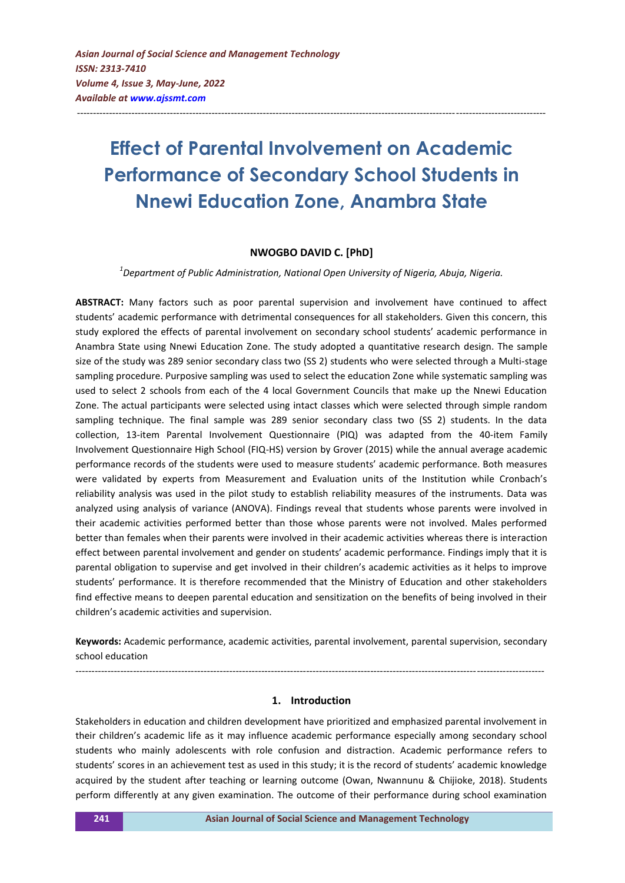# **Effect of Parental Involvement on Academic Performance of Secondary School Students in Nnewi Education Zone, Anambra State**

--------------------------------------------------------------------------------------------------------------------------------------------------

# **NWOGBO DAVID C. [PhD]**

*1 Department of Public Administration, National Open University of Nigeria, Abuja, Nigeria.*

**ABSTRACT:** Many factors such as poor parental supervision and involvement have continued to affect students' academic performance with detrimental consequences for all stakeholders. Given this concern, this study explored the effects of parental involvement on secondary school students' academic performance in Anambra State using Nnewi Education Zone. The study adopted a quantitative research design. The sample size of the study was 289 senior secondary class two (SS 2) students who were selected through a Multi-stage sampling procedure. Purposive sampling was used to select the education Zone while systematic sampling was used to select 2 schools from each of the 4 local Government Councils that make up the Nnewi Education Zone. The actual participants were selected using intact classes which were selected through simple random sampling technique. The final sample was 289 senior secondary class two (SS 2) students. In the data collection, 13-item Parental Involvement Questionnaire (PIQ) was adapted from the 40-item Family Involvement Questionnaire High School (FIQ-HS) version by Grover (2015) while the annual average academic performance records of the students were used to measure students' academic performance. Both measures were validated by experts from Measurement and Evaluation units of the Institution while Cronbach's reliability analysis was used in the pilot study to establish reliability measures of the instruments. Data was analyzed using analysis of variance (ANOVA). Findings reveal that students whose parents were involved in their academic activities performed better than those whose parents were not involved. Males performed better than females when their parents were involved in their academic activities whereas there is interaction effect between parental involvement and gender on students' academic performance. Findings imply that it is parental obligation to supervise and get involved in their children's academic activities as it helps to improve students' performance. It is therefore recommended that the Ministry of Education and other stakeholders find effective means to deepen parental education and sensitization on the benefits of being involved in their children's academic activities and supervision.

**Keywords:** Academic performance, academic activities, parental involvement, parental supervision, secondary school education

--------------------------------------------------------------------------------------------------------------------------------------------------

#### **1. Introduction**

Stakeholders in education and children development have prioritized and emphasized parental involvement in their children's academic life as it may influence academic performance especially among secondary school students who mainly adolescents with role confusion and distraction. Academic performance refers to students' scores in an achievement test as used in this study; it is the record of students' academic knowledge acquired by the student after teaching or learning outcome (Owan, Nwannunu & Chijioke, 2018). Students perform differently at any given examination. The outcome of their performance during school examination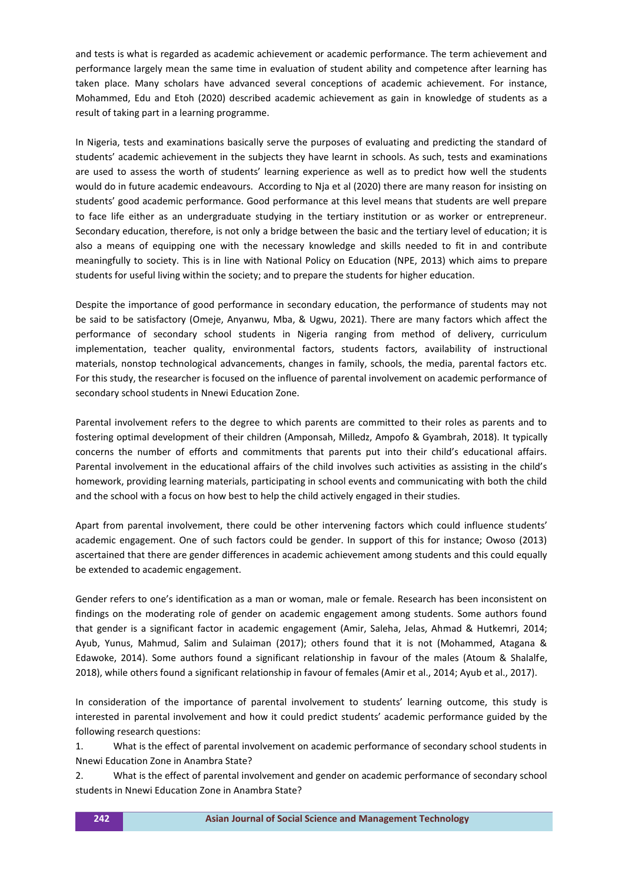and tests is what is regarded as academic achievement or academic performance. The term achievement and performance largely mean the same time in evaluation of student ability and competence after learning has taken place. Many scholars have advanced several conceptions of academic achievement. For instance, Mohammed, Edu and Etoh (2020) described academic achievement as gain in knowledge of students as a result of taking part in a learning programme.

In Nigeria, tests and examinations basically serve the purposes of evaluating and predicting the standard of students' academic achievement in the subjects they have learnt in schools. As such, tests and examinations are used to assess the worth of students' learning experience as well as to predict how well the students would do in future academic endeavours. According to Nja et al (2020) there are many reason for insisting on students' good academic performance. Good performance at this level means that students are well prepare to face life either as an undergraduate studying in the tertiary institution or as worker or entrepreneur. Secondary education, therefore, is not only a bridge between the basic and the tertiary level of education; it is also a means of equipping one with the necessary knowledge and skills needed to fit in and contribute meaningfully to society. This is in line with National Policy on Education (NPE, 2013) which aims to prepare students for useful living within the society; and to prepare the students for higher education.

Despite the importance of good performance in secondary education, the performance of students may not be said to be satisfactory (Omeje, Anyanwu, Mba, & Ugwu, 2021). There are many factors which affect the performance of secondary school students in Nigeria ranging from method of delivery, curriculum implementation, teacher quality, environmental factors, students factors, availability of instructional materials, nonstop technological advancements, changes in family, schools, the media, parental factors etc. For this study, the researcher is focused on the influence of parental involvement on academic performance of secondary school students in Nnewi Education Zone.

Parental involvement refers to the degree to which parents are committed to their roles as parents and to fostering optimal development of their children (Amponsah, Milledz, Ampofo & Gyambrah, 2018). It typically concerns the number of efforts and commitments that parents put into their child's educational affairs. Parental involvement in the educational affairs of the child involves such activities as assisting in the child's homework, providing learning materials, participating in school events and communicating with both the child and the school with a focus on how best to help the child actively engaged in their studies.

Apart from parental involvement, there could be other intervening factors which could influence students' academic engagement. One of such factors could be gender. In support of this for instance; Owoso (2013) ascertained that there are gender differences in academic achievement among students and this could equally be extended to academic engagement.

Gender refers to one's identification as a man or woman, male or female. Research has been inconsistent on findings on the moderating role of gender on academic engagement among students. Some authors found that gender is a significant factor in academic engagement (Amir, Saleha, Jelas, Ahmad & Hutkemri, 2014; Ayub, Yunus, Mahmud, Salim and Sulaiman (2017); others found that it is not (Mohammed, Atagana & Edawoke, 2014). Some authors found a significant relationship in favour of the males (Atoum & Shalalfe, 2018), while others found a significant relationship in favour of females (Amir et al., 2014; Ayub et al., 2017).

In consideration of the importance of parental involvement to students' learning outcome, this study is interested in parental involvement and how it could predict students' academic performance guided by the following research questions:

1. What is the effect of parental involvement on academic performance of secondary school students in Nnewi Education Zone in Anambra State?

2. What is the effect of parental involvement and gender on academic performance of secondary school students in Nnewi Education Zone in Anambra State?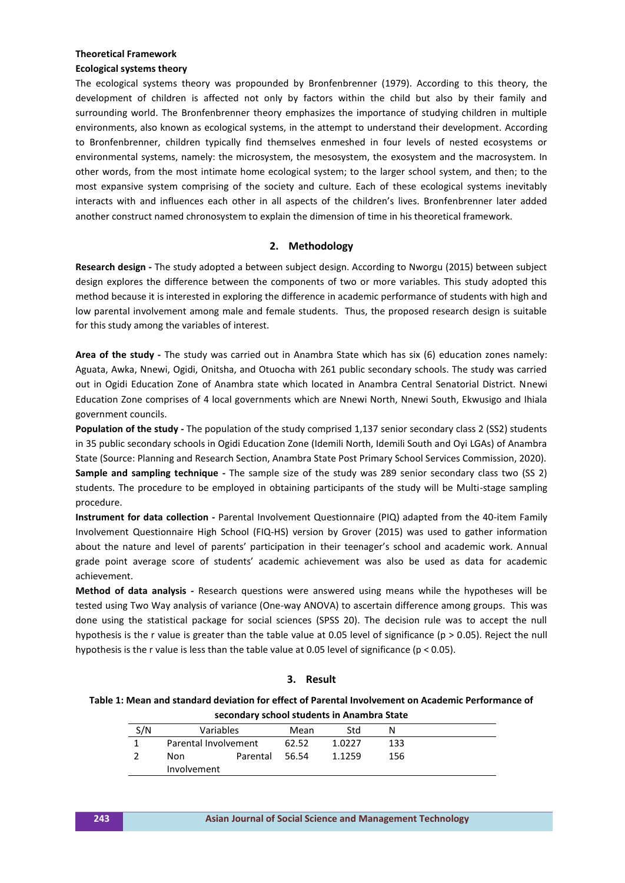#### **Theoretical Framework**

## **Ecological systems theory**

The ecological systems theory was propounded by Bronfenbrenner (1979). According to this theory, the development of children is affected not only by factors within the child but also by their family and surrounding world. The Bronfenbrenner theory emphasizes the importance of studying children in multiple environments, also known as ecological systems, in the attempt to understand their development. According to Bronfenbrenner, children typically find themselves enmeshed in four levels of nested ecosystems or environmental systems, namely: the microsystem, the mesosystem, the exosystem and the macrosystem. In other words, from the most intimate home ecological system; to the larger school system, and then; to the most expansive system comprising of the society and culture. Each of these ecological systems inevitably interacts with and influences each other in all aspects of the children's lives. Bronfenbrenner later added another construct named chronosystem to explain the dimension of time in his theoretical framework.

# **2. Methodology**

**Research design -** The study adopted a between subject design. According to Nworgu (2015) between subject design explores the difference between the components of two or more variables. This study adopted this method because it is interested in exploring the difference in academic performance of students with high and low parental involvement among male and female students. Thus, the proposed research design is suitable for this study among the variables of interest.

**Area of the study -** The study was carried out in Anambra State which has six (6) education zones namely: Aguata, Awka, Nnewi, Ogidi, Onitsha, and Otuocha with 261 public secondary schools. The study was carried out in Ogidi Education Zone of Anambra state which located in Anambra Central Senatorial District. Nnewi Education Zone comprises of 4 local governments which are Nnewi North, Nnewi South, Ekwusigo and Ihiala government councils.

**Population of the study -** The population of the study comprised 1,137 senior secondary class 2 (SS2) students in 35 public secondary schools in Ogidi Education Zone (Idemili North, Idemili South and Oyi LGAs) of Anambra State (Source: Planning and Research Section, Anambra State Post Primary School Services Commission, 2020). **Sample and sampling technique -** The sample size of the study was 289 senior secondary class two (SS 2) students. The procedure to be employed in obtaining participants of the study will be Multi-stage sampling procedure.

**Instrument for data collection -** Parental Involvement Questionnaire (PIQ) adapted from the 40-item Family Involvement Questionnaire High School (FIQ-HS) version by Grover (2015) was used to gather information about the nature and level of parents' participation in their teenager's school and academic work. Annual grade point average score of students' academic achievement was also be used as data for academic achievement.

**Method of data analysis -** Research questions were answered using means while the hypotheses will be tested using Two Way analysis of variance (One-way ANOVA) to ascertain difference among groups. This was done using the statistical package for social sciences (SPSS 20). The decision rule was to accept the null hypothesis is the r value is greater than the table value at 0.05 level of significance ( $p > 0.05$ ). Reject the null hypothesis is the r value is less than the table value at 0.05 level of significance (p < 0.05).

# **3. Result**

## **Table 1: Mean and standard deviation for effect of Parental Involvement on Academic Performance of secondary school students in Anambra State**

| S/N | Variables            |                | Mean  | Std    |     |  |  |
|-----|----------------------|----------------|-------|--------|-----|--|--|
|     | Parental Involvement |                | 62.52 | 1.0227 | 133 |  |  |
|     | Non                  | Parental 56.54 |       | 1.1259 | 156 |  |  |
|     | Involvement          |                |       |        |     |  |  |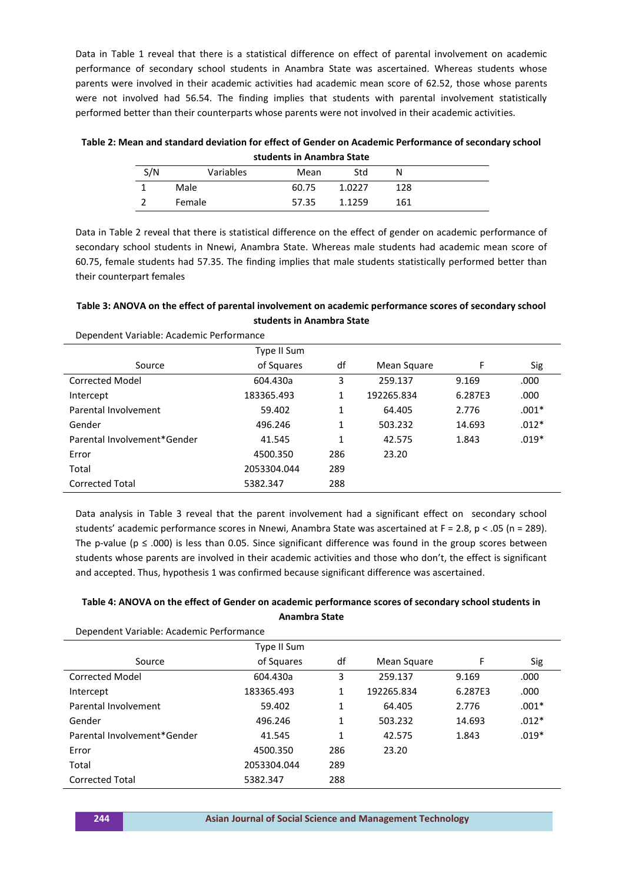Data in Table 1 reveal that there is a statistical difference on effect of parental involvement on academic performance of secondary school students in Anambra State was ascertained. Whereas students whose parents were involved in their academic activities had academic mean score of 62.52, those whose parents were not involved had 56.54. The finding implies that students with parental involvement statistically performed better than their counterparts whose parents were not involved in their academic activities.

**Table 2: Mean and standard deviation for effect of Gender on Academic Performance of secondary school students in Anambra State**

| S/N | Variables | Mean  | Std    | N   |  |
|-----|-----------|-------|--------|-----|--|
|     | Male      | 60.75 | 1.0227 | 128 |  |
|     | Female    | 57.35 | 1.1259 | 161 |  |

Data in Table 2 reveal that there is statistical difference on the effect of gender on academic performance of secondary school students in Nnewi, Anambra State. Whereas male students had academic mean score of 60.75, female students had 57.35. The finding implies that male students statistically performed better than their counterpart females

# **Table 3: ANOVA on the effect of parental involvement on academic performance scores of secondary school students in Anambra State**

|                             | Type II Sum |     |             |         |         |  |  |
|-----------------------------|-------------|-----|-------------|---------|---------|--|--|
| Source                      | of Squares  | df  | Mean Square | F       | Sig     |  |  |
| <b>Corrected Model</b>      | 604.430a    | 3   | 259.137     | 9.169   | .000    |  |  |
| Intercept                   | 183365.493  | 1   | 192265.834  | 6.287E3 | .000    |  |  |
| Parental Involvement        | 59.402      | 1   | 64.405      | 2.776   | $.001*$ |  |  |
| Gender                      | 496.246     | 1   | 503.232     | 14.693  | $.012*$ |  |  |
| Parental Involvement*Gender | 41.545      | 1   | 42.575      | 1.843   | $.019*$ |  |  |
| Error                       | 4500.350    | 286 | 23.20       |         |         |  |  |
| Total                       | 2053304.044 | 289 |             |         |         |  |  |
| <b>Corrected Total</b>      | 5382.347    | 288 |             |         |         |  |  |

Dependent Variable: Academic Performance

Data analysis in Table 3 reveal that the parent involvement had a significant effect on secondary school students' academic performance scores in Nnewi, Anambra State was ascertained at F = 2.8, p < .05 (n = 289). The p-value ( $p \le 0.00$ ) is less than 0.05. Since significant difference was found in the group scores between students whose parents are involved in their academic activities and those who don't, the effect is significant and accepted. Thus, hypothesis 1 was confirmed because significant difference was ascertained.

# **Table 4: ANOVA on the effect of Gender on academic performance scores of secondary school students in Anambra State**

Dependent Variable: Academic Performance Source Type II Sum of Squares df Mean Square F Sig Corrected Model Intercept Parental Involvement Gender Parental Involvement\*Gender Error Total Corrected Total 604.430a 183365.493 59.402 496.246 41.545 4500.350 2053304.044 5382.347 3 1 1 1 1 286 289 288 259.137 192265.834 64.405 503.232 42.575 23.20 9.169 6.287E3 2.776 14.693 1.843 .000 .000 .001\* .012\* .019\*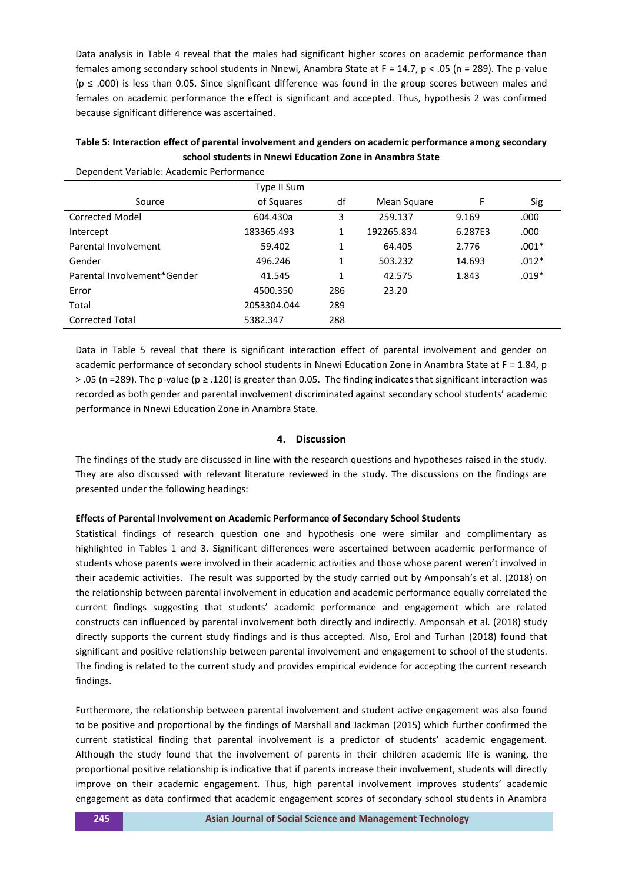Data analysis in Table 4 reveal that the males had significant higher scores on academic performance than females among secondary school students in Nnewi, Anambra State at F = 14.7, p < .05 (n = 289). The p-value (p ≤ .000) is less than 0.05. Since significant difference was found in the group scores between males and females on academic performance the effect is significant and accepted. Thus, hypothesis 2 was confirmed because significant difference was ascertained.

| Table 5: Interaction effect of parental involvement and genders on academic performance among secondary |
|---------------------------------------------------------------------------------------------------------|
| school students in Nnewi Education Zone in Anambra State                                                |

Dependent Variable: Academic Performance

|                             | Type II Sum |     |             |         |         |  |  |
|-----------------------------|-------------|-----|-------------|---------|---------|--|--|
| Source                      | of Squares  | df  | Mean Square | F       | Sig     |  |  |
| <b>Corrected Model</b>      | 604.430a    | 3   | 259.137     | 9.169   | .000    |  |  |
| Intercept                   | 183365.493  | 1   | 192265.834  | 6.287E3 | .000    |  |  |
| Parental Involvement        | 59.402      | 1   | 64.405      | 2.776   | $.001*$ |  |  |
| Gender                      | 496.246     | 1   | 503.232     | 14.693  | $.012*$ |  |  |
| Parental Involvement*Gender | 41.545      | 1   | 42.575      | 1.843   | $.019*$ |  |  |
| Error                       | 4500.350    | 286 | 23.20       |         |         |  |  |
| Total                       | 2053304.044 | 289 |             |         |         |  |  |
| <b>Corrected Total</b>      | 5382.347    | 288 |             |         |         |  |  |
|                             |             |     |             |         |         |  |  |

Data in Table 5 reveal that there is significant interaction effect of parental involvement and gender on academic performance of secondary school students in Nnewi Education Zone in Anambra State at F = 1.84, p > .05 (n =289). The p-value (p ≥ .120) is greater than 0.05. The finding indicates that significant interaction was recorded as both gender and parental involvement discriminated against secondary school students' academic performance in Nnewi Education Zone in Anambra State.

# **4. Discussion**

The findings of the study are discussed in line with the research questions and hypotheses raised in the study. They are also discussed with relevant literature reviewed in the study. The discussions on the findings are presented under the following headings:

#### **Effects of Parental Involvement on Academic Performance of Secondary School Students**

Statistical findings of research question one and hypothesis one were similar and complimentary as highlighted in Tables 1 and 3. Significant differences were ascertained between academic performance of students whose parents were involved in their academic activities and those whose parent weren't involved in their academic activities. The result was supported by the study carried out by Amponsah's et al. (2018) on the relationship between parental involvement in education and academic performance equally correlated the current findings suggesting that students' academic performance and engagement which are related constructs can influenced by parental involvement both directly and indirectly. Amponsah et al. (2018) study directly supports the current study findings and is thus accepted. Also, Erol and Turhan (2018) found that significant and positive relationship between parental involvement and engagement to school of the students. The finding is related to the current study and provides empirical evidence for accepting the current research findings.

Furthermore, the relationship between parental involvement and student active engagement was also found to be positive and proportional by the findings of Marshall and Jackman (2015) which further confirmed the current statistical finding that parental involvement is a predictor of students' academic engagement. Although the study found that the involvement of parents in their children academic life is waning, the proportional positive relationship is indicative that if parents increase their involvement, students will directly improve on their academic engagement. Thus, high parental involvement improves students' academic engagement as data confirmed that academic engagement scores of secondary school students in Anambra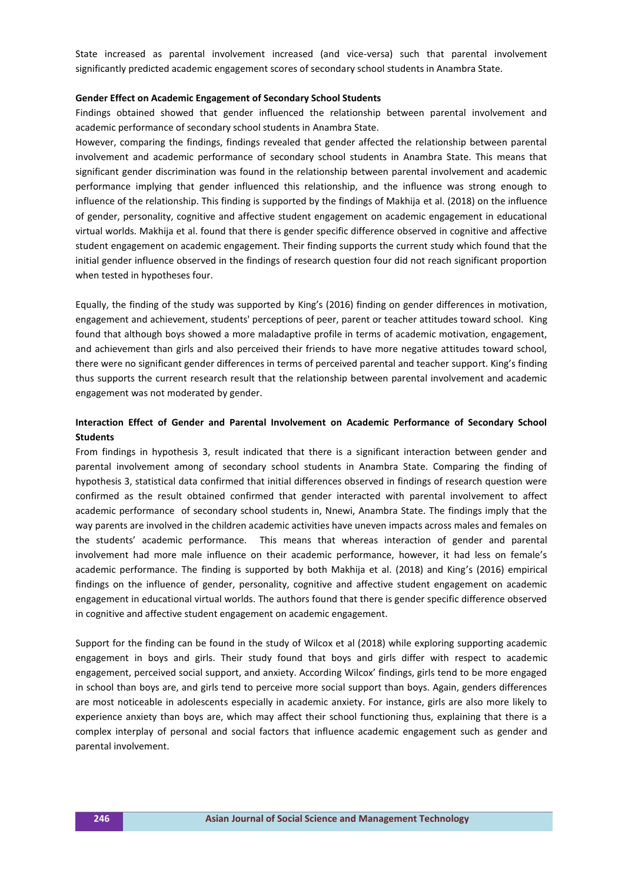State increased as parental involvement increased (and vice-versa) such that parental involvement significantly predicted academic engagement scores of secondary school students in Anambra State.

#### **Gender Effect on Academic Engagement of Secondary School Students**

Findings obtained showed that gender influenced the relationship between parental involvement and academic performance of secondary school students in Anambra State.

However, comparing the findings, findings revealed that gender affected the relationship between parental involvement and academic performance of secondary school students in Anambra State. This means that significant gender discrimination was found in the relationship between parental involvement and academic performance implying that gender influenced this relationship, and the influence was strong enough to influence of the relationship. This finding is supported by the findings of Makhija et al. (2018) on the influence of gender, personality, cognitive and affective student engagement on academic engagement in educational virtual worlds. Makhija et al. found that there is gender specific difference observed in cognitive and affective student engagement on academic engagement. Their finding supports the current study which found that the initial gender influence observed in the findings of research question four did not reach significant proportion when tested in hypotheses four.

Equally, the finding of the study was supported by King's (2016) finding on gender differences in motivation, engagement and achievement, students' perceptions of peer, parent or teacher attitudes toward school. King found that although boys showed a more maladaptive profile in terms of academic motivation, engagement, and achievement than girls and also perceived their friends to have more negative attitudes toward school, there were no significant gender differences in terms of perceived parental and teacher support. King's finding thus supports the current research result that the relationship between parental involvement and academic engagement was not moderated by gender.

# **Interaction Effect of Gender and Parental Involvement on Academic Performance of Secondary School Students**

From findings in hypothesis 3, result indicated that there is a significant interaction between gender and parental involvement among of secondary school students in Anambra State. Comparing the finding of hypothesis 3, statistical data confirmed that initial differences observed in findings of research question were confirmed as the result obtained confirmed that gender interacted with parental involvement to affect academic performance of secondary school students in, Nnewi, Anambra State. The findings imply that the way parents are involved in the children academic activities have uneven impacts across males and females on the students' academic performance. This means that whereas interaction of gender and parental involvement had more male influence on their academic performance, however, it had less on female's academic performance. The finding is supported by both Makhija et al. (2018) and King's (2016) empirical findings on the influence of gender, personality, cognitive and affective student engagement on academic engagement in educational virtual worlds. The authors found that there is gender specific difference observed in cognitive and affective student engagement on academic engagement.

Support for the finding can be found in the study of Wilcox et al (2018) while exploring supporting academic engagement in boys and girls. Their study found that boys and girls differ with respect to academic engagement, perceived social support, and anxiety. According Wilcox' findings, girls tend to be more engaged in school than boys are, and girls tend to perceive more social support than boys. Again, genders differences are most noticeable in adolescents especially in academic anxiety. For instance, girls are also more likely to experience anxiety than boys are, which may affect their school functioning thus, explaining that there is a complex interplay of personal and social factors that influence academic engagement such as gender and parental involvement.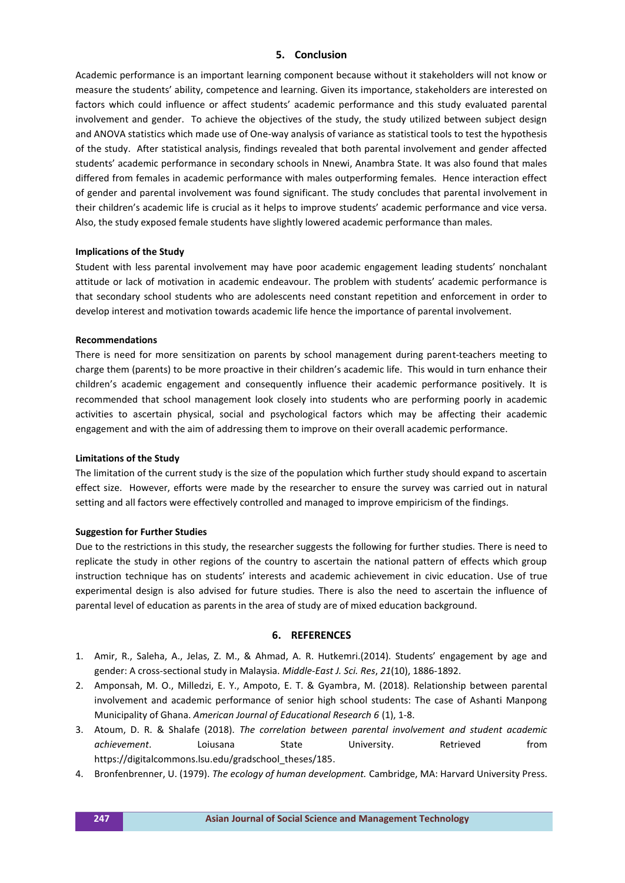# **5. Conclusion**

Academic performance is an important learning component because without it stakeholders will not know or measure the students' ability, competence and learning. Given its importance, stakeholders are interested on factors which could influence or affect students' academic performance and this study evaluated parental involvement and gender. To achieve the objectives of the study, the study utilized between subject design and ANOVA statistics which made use of One-way analysis of variance as statistical tools to test the hypothesis of the study. After statistical analysis, findings revealed that both parental involvement and gender affected students' academic performance in secondary schools in Nnewi, Anambra State. It was also found that males differed from females in academic performance with males outperforming females. Hence interaction effect of gender and parental involvement was found significant. The study concludes that parental involvement in their children's academic life is crucial as it helps to improve students' academic performance and vice versa. Also, the study exposed female students have slightly lowered academic performance than males.

#### **Implications of the Study**

Student with less parental involvement may have poor academic engagement leading students' nonchalant attitude or lack of motivation in academic endeavour. The problem with students' academic performance is that secondary school students who are adolescents need constant repetition and enforcement in order to develop interest and motivation towards academic life hence the importance of parental involvement.

#### **Recommendations**

There is need for more sensitization on parents by school management during parent-teachers meeting to charge them (parents) to be more proactive in their children's academic life. This would in turn enhance their children's academic engagement and consequently influence their academic performance positively. It is recommended that school management look closely into students who are performing poorly in academic activities to ascertain physical, social and psychological factors which may be affecting their academic engagement and with the aim of addressing them to improve on their overall academic performance.

# **Limitations of the Study**

The limitation of the current study is the size of the population which further study should expand to ascertain effect size. However, efforts were made by the researcher to ensure the survey was carried out in natural setting and all factors were effectively controlled and managed to improve empiricism of the findings.

# **Suggestion for Further Studies**

Due to the restrictions in this study, the researcher suggests the following for further studies. There is need to replicate the study in other regions of the country to ascertain the national pattern of effects which group instruction technique has on students' interests and academic achievement in civic education. Use of true experimental design is also advised for future studies. There is also the need to ascertain the influence of parental level of education as parents in the area of study are of mixed education background.

#### **6. REFERENCES**

- 1. Amir, R., Saleha, A., Jelas, Z. M., & Ahmad, A. R. Hutkemri.(2014). Students' engagement by age and gender: A cross-sectional study in Malaysia. *Middle-East J. Sci. Res*, *21*(10), 1886-1892.
- 2. Amponsah, M. O., Milledzi, E. Y., Ampoto, E. T. & Gyambra, M. (2018). Relationship between parental involvement and academic performance of senior high school students: The case of Ashanti Manpong Municipality of Ghana. *American Journal of Educational Research 6* (1), 1-8.
- 3. Atoum, D. R. & Shalafe (2018). *The correlation between parental involvement and student academic achievement*. Loiusana State University. Retrieved from https://digitalcommons.lsu.edu/gradschool\_theses/185.
- 4. Bronfenbrenner, U. (1979). *The ecology of human development.* Cambridge, MA: Harvard University Press.